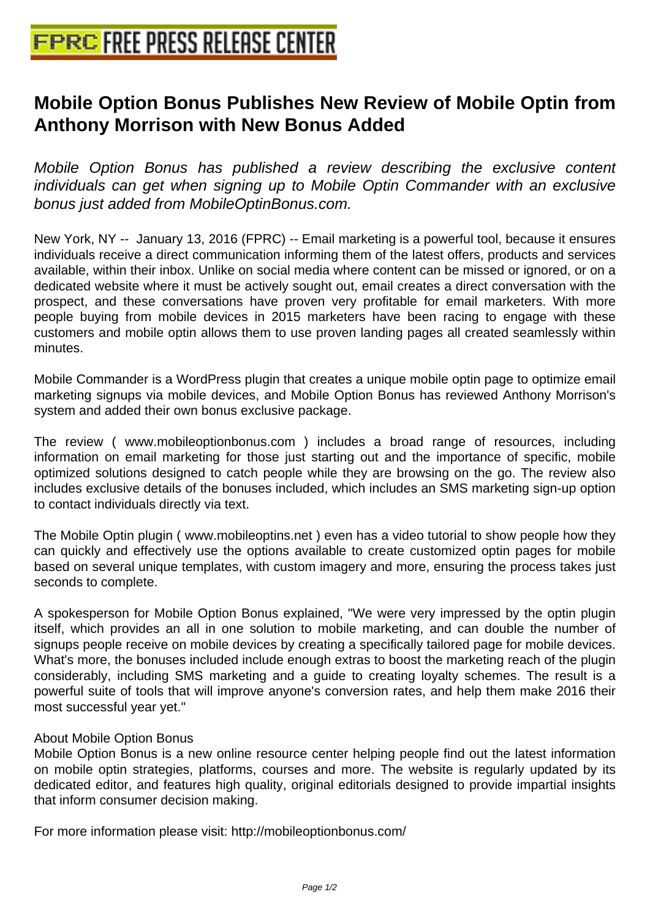## **[Mobile Option Bonus Publishes Ne](http://www.free-press-release-center.info)w Review of Mobile Optin from Anthony Morrison with New Bonus Added**

Mobile Option Bonus has published a review describing the exclusive content individuals can get when signing up to Mobile Optin Commander with an exclusive bonus just added from MobileOptinBonus.com.

New York, NY -- January 13, 2016 (FPRC) -- Email marketing is a powerful tool, because it ensures individuals receive a direct communication informing them of the latest offers, products and services available, within their inbox. Unlike on social media where content can be missed or ignored, or on a dedicated website where it must be actively sought out, email creates a direct conversation with the prospect, and these conversations have proven very profitable for email marketers. With more people buying from mobile devices in 2015 marketers have been racing to engage with these customers and mobile optin allows them to use proven landing pages all created seamlessly within minutes.

Mobile Commander is a WordPress plugin that creates a unique mobile optin page to optimize email marketing signups via mobile devices, and Mobile Option Bonus has reviewed Anthony Morrison's system and added their own bonus exclusive package.

The review ( www.mobileoptionbonus.com ) includes a broad range of resources, including information on email marketing for those just starting out and the importance of specific, mobile optimized solutions designed to catch people while they are browsing on the go. The review also includes exclusive details of the bonuses included, which includes an SMS marketing sign-up option to contact individuals directly via text.

The Mobile Optin plugin ( www.mobileoptins.net ) even has a video tutorial to show people how they can quickly and effectively use the options available to create customized optin pages for mobile based on several unique templates, with custom imagery and more, ensuring the process takes just seconds to complete.

A spokesperson for Mobile Option Bonus explained, "We were very impressed by the optin plugin itself, which provides an all in one solution to mobile marketing, and can double the number of signups people receive on mobile devices by creating a specifically tailored page for mobile devices. What's more, the bonuses included include enough extras to boost the marketing reach of the plugin considerably, including SMS marketing and a guide to creating loyalty schemes. The result is a powerful suite of tools that will improve anyone's conversion rates, and help them make 2016 their most successful year yet."

## About Mobile Option Bonus

Mobile Option Bonus is a new online resource center helping people find out the latest information on mobile optin strategies, platforms, courses and more. The website is regularly updated by its dedicated editor, and features high quality, original editorials designed to provide impartial insights that inform consumer decision making.

For more information please visit: http://mobileoptionbonus.com/